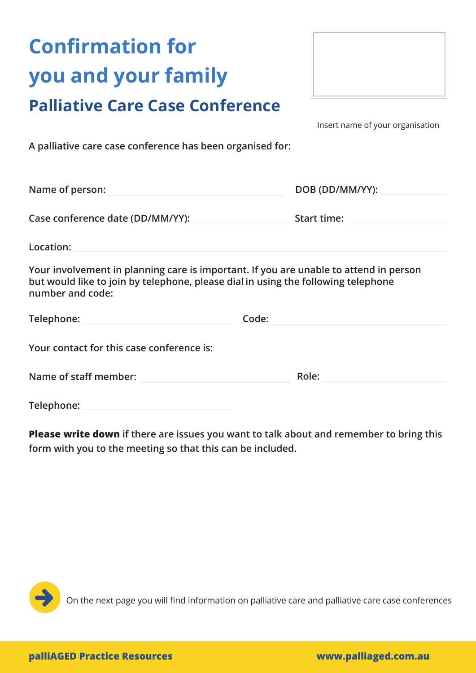## **Confirmation for you and your family**





Insert name of your organisation

**A palliative care case conference has been organised for:**

| DOB (DD/MM/YY): |
|-----------------|
|                 |
| Start time:     |
|                 |

**Location:**

**Your involvement in planning care is important. If you are unable to attend in person but would like to join by telephone, please dial in using the following telephone number and code:** 

| Telephone: | Code: |
|------------|-------|
|            |       |

**Your contact for this case conference is:**

| Role:<br>Name of staff member: |
|--------------------------------|
|                                |

**Telephone:**

**Please write down if there are issues you want to talk about and remember to bring this form with you to the meeting so that this can be included.**



On the next page you will find information on palliative care and palliative care case conferences